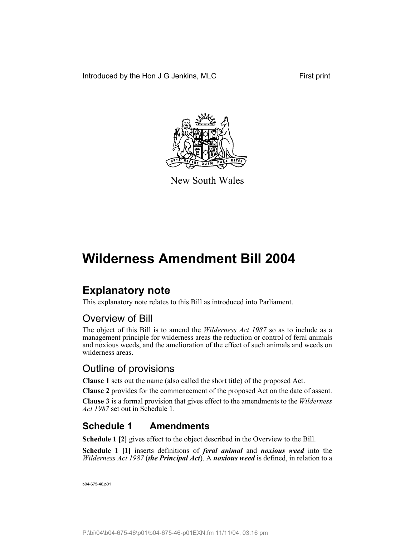Introduced by the Hon J G Jenkins, MLC First print



New South Wales

# **Wilderness Amendment Bill 2004**

# **Explanatory note**

This explanatory note relates to this Bill as introduced into Parliament.

## Overview of Bill

The object of this Bill is to amend the *Wilderness Act 1987* so as to include as a management principle for wilderness areas the reduction or control of feral animals and noxious weeds, and the amelioration of the effect of such animals and weeds on wilderness areas.

## Outline of provisions

**Clause 1** sets out the name (also called the short title) of the proposed Act.

**Clause 2** provides for the commencement of the proposed Act on the date of assent.

**Clause 3** is a formal provision that gives effect to the amendments to the *Wilderness Act 1987* set out in Schedule 1.

## **Schedule 1 Amendments**

**Schedule 1 [2]** gives effect to the object described in the Overview to the Bill.

**Schedule 1 [1]** inserts definitions of *feral animal* and *noxious weed* into the *Wilderness Act 1987* (*the Principal Act*). A *noxious weed* is defined, in relation to a

b04-675-46.p01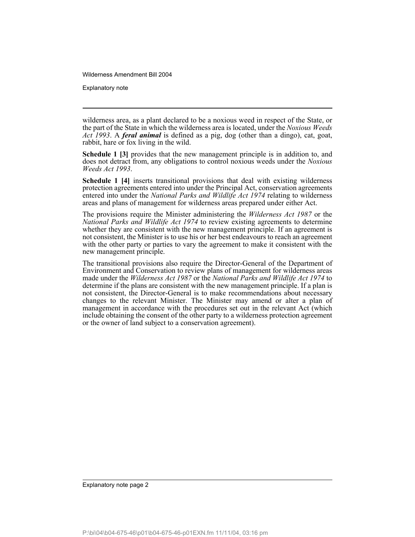Explanatory note

wilderness area, as a plant declared to be a noxious weed in respect of the State, or the part of the State in which the wilderness area is located, under the *Noxious Weeds Act 1993*. A *feral animal* is defined as a pig, dog (other than a dingo), cat, goat, rabbit, hare or fox living in the wild.

**Schedule 1 [3]** provides that the new management principle is in addition to, and does not detract from, any obligations to control noxious weeds under the *Noxious Weeds Act 1993*.

**Schedule 1 [4]** inserts transitional provisions that deal with existing wilderness protection agreements entered into under the Principal Act, conservation agreements entered into under the *National Parks and Wildlife Act 1974* relating to wilderness areas and plans of management for wilderness areas prepared under either Act.

The provisions require the Minister administering the *Wilderness Act 1987* or the *National Parks and Wildlife Act 1974* to review existing agreements to determine whether they are consistent with the new management principle. If an agreement is not consistent, the Minister is to use his or her best endeavours to reach an agreement with the other party or parties to vary the agreement to make it consistent with the new management principle.

The transitional provisions also require the Director-General of the Department of Environment and Conservation to review plans of management for wilderness areas made under the *Wilderness Act 1987* or the *National Parks and Wildlife Act 1974* to determine if the plans are consistent with the new management principle. If a plan is not consistent, the Director-General is to make recommendations about necessary changes to the relevant Minister. The Minister may amend or alter a plan of management in accordance with the procedures set out in the relevant Act (which include obtaining the consent of the other party to a wilderness protection agreement or the owner of land subject to a conservation agreement).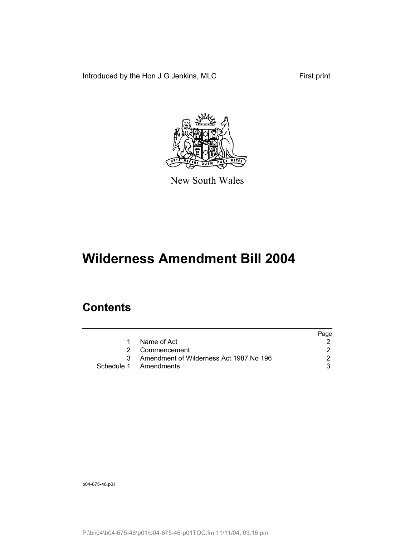Introduced by the Hon J G Jenkins, MLC First print



New South Wales

# **Wilderness Amendment Bill 2004**

## **Contents**

|   |                                         | Page |
|---|-----------------------------------------|------|
|   | Name of Act                             |      |
|   | 2 Commencement                          |      |
| 3 | Amendment of Wilderness Act 1987 No 196 |      |
|   | Schedule 1 Amendments                   |      |

b04-675-46.p01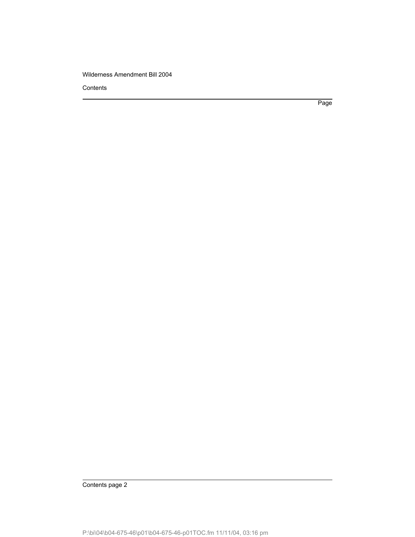**Contents** 

Page

Contents page 2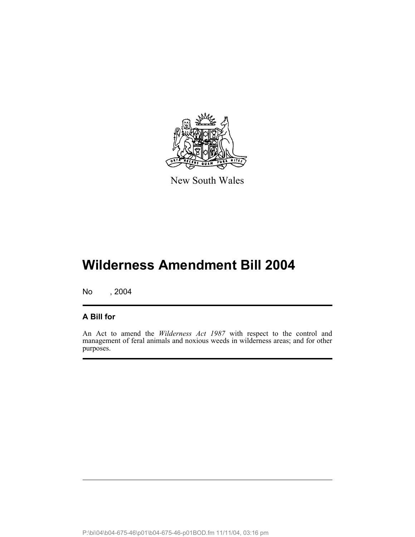

New South Wales

# **Wilderness Amendment Bill 2004**

No , 2004

### **A Bill for**

An Act to amend the *Wilderness Act 1987* with respect to the control and management of feral animals and noxious weeds in wilderness areas; and for other purposes.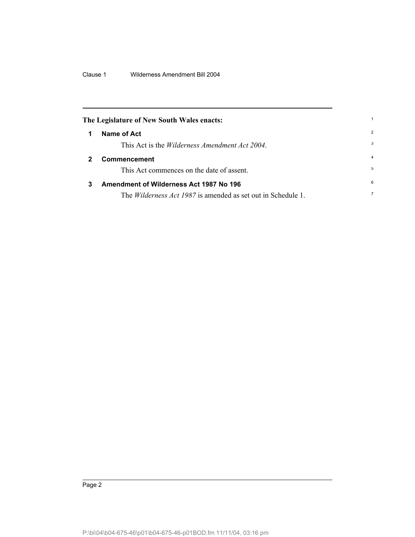Clause 1 Wilderness Amendment Bill 2004

<span id="page-5-1"></span><span id="page-5-0"></span>

| The Legislature of New South Wales enacts: |                                                                     |                |
|--------------------------------------------|---------------------------------------------------------------------|----------------|
|                                            | Name of Act                                                         | 2              |
|                                            | This Act is the <i>Wilderness Amendment Act 2004</i> .              | 3              |
|                                            | Commencement                                                        | 4              |
|                                            | This Act commences on the date of assent.                           | 5              |
| 3                                          | Amendment of Wilderness Act 1987 No 196                             | 6              |
|                                            | The <i>Wilderness Act 1987</i> is amended as set out in Schedule 1. | $\overline{7}$ |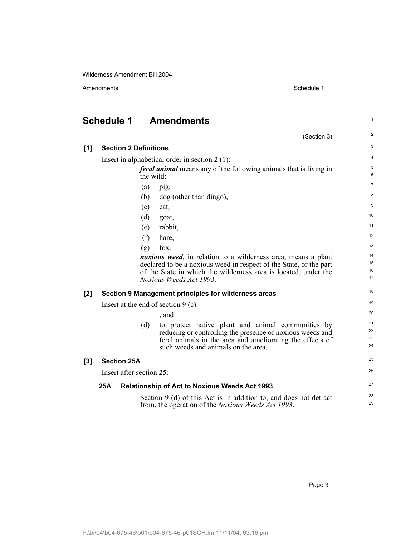Amendments Schedule 1

1

2

## <span id="page-6-0"></span>**Schedule 1 Amendments**

|       |                                                                                       |                              | (Section 3)                                                                                                                                                                                                                               | $\overline{2}$       |
|-------|---------------------------------------------------------------------------------------|------------------------------|-------------------------------------------------------------------------------------------------------------------------------------------------------------------------------------------------------------------------------------------|----------------------|
| [1]   |                                                                                       | <b>Section 2 Definitions</b> |                                                                                                                                                                                                                                           | 3                    |
|       | Insert in alphabetical order in section $2(1)$ :                                      |                              |                                                                                                                                                                                                                                           | $\overline{4}$       |
|       | <i>feral animal</i> means any of the following animals that is living in<br>the wild: |                              |                                                                                                                                                                                                                                           | 5<br>6               |
|       |                                                                                       | (a)                          | pig,                                                                                                                                                                                                                                      | $\overline{7}$       |
|       |                                                                                       | (b)                          | dog (other than dingo),                                                                                                                                                                                                                   | 8                    |
|       |                                                                                       | (c)                          | cat,                                                                                                                                                                                                                                      | 9                    |
|       |                                                                                       | (d)                          | goat,                                                                                                                                                                                                                                     | 10                   |
|       |                                                                                       | (e)                          | rabbit,                                                                                                                                                                                                                                   | 11                   |
|       |                                                                                       | (f)                          | hare,                                                                                                                                                                                                                                     | 12                   |
|       |                                                                                       | (g)                          | fox.                                                                                                                                                                                                                                      | 13                   |
|       |                                                                                       |                              | <i>noxious weed</i> , in relation to a wilderness area, means a plant<br>declared to be a noxious weed in respect of the State, or the part<br>of the State in which the wilderness area is located, under the<br>Noxious Weeds Act 1993. | 14<br>15<br>16<br>17 |
| $[2]$ |                                                                                       |                              | Section 9 Management principles for wilderness areas                                                                                                                                                                                      | 18                   |
|       | Insert at the end of section $9$ (c):                                                 |                              |                                                                                                                                                                                                                                           |                      |
|       |                                                                                       |                              | , and                                                                                                                                                                                                                                     | 20                   |
|       |                                                                                       | (d)                          | to protect native plant and animal communities by<br>reducing or controlling the presence of noxious weeds and<br>feral animals in the area and ameliorating the effects of<br>such weeds and animals on the area.                        | 21<br>22<br>23<br>24 |
| $[3]$ | <b>Section 25A</b>                                                                    |                              |                                                                                                                                                                                                                                           | 25                   |
|       | Insert after section 25:                                                              |                              |                                                                                                                                                                                                                                           | 26                   |
|       | 25A<br><b>Relationship of Act to Noxious Weeds Act 1993</b>                           |                              |                                                                                                                                                                                                                                           | 27                   |
|       |                                                                                       |                              | Section 9 (d) of this Act is in addition to, and does not detract<br>from, the operation of the <i>Noxious Weeds Act 1993</i> .                                                                                                           | 28<br>29             |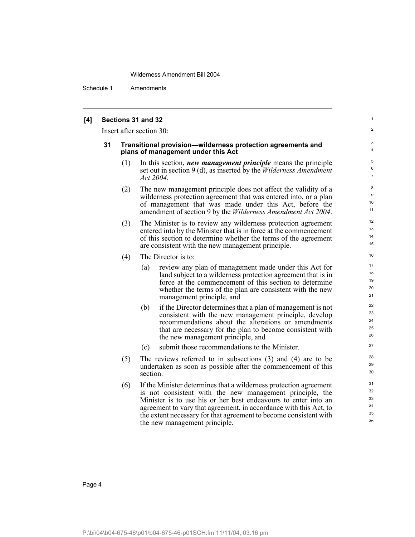Schedule 1 Amendments

### **[4] Sections 31 and 32**

Insert after section 30:

#### **31 Transitional provision—wilderness protection agreements and plans of management under this Act**

(1) In this section, *new management principle* means the principle set out in section 9 (d), as inserted by the *Wilderness Amendment Act 2004*.

1  $\overline{2}$ 

- (2) The new management principle does not affect the validity of a wilderness protection agreement that was entered into, or a plan of management that was made under this Act, before the amendment of section 9 by the *Wilderness Amendment Act 2004*.
- (3) The Minister is to review any wilderness protection agreement entered into by the Minister that is in force at the commencement of this section to determine whether the terms of the agreement are consistent with the new management principle.
- (4) The Director is to:
	- (a) review any plan of management made under this Act for land subject to a wilderness protection agreement that is in force at the commencement of this section to determine whether the terms of the plan are consistent with the new management principle, and
	- (b) if the Director determines that a plan of management is not consistent with the new management principle, develop recommendations about the alterations or amendments that are necessary for the plan to become consistent with the new management principle, and
	- (c) submit those recommendations to the Minister.
- (5) The reviews referred to in subsections (3) and (4) are to be undertaken as soon as possible after the commencement of this section.
- (6) If the Minister determines that a wilderness protection agreement is not consistent with the new management principle, the Minister is to use his or her best endeavours to enter into an agreement to vary that agreement, in accordance with this Act, to the extent necessary for that agreement to become consistent with the new management principle.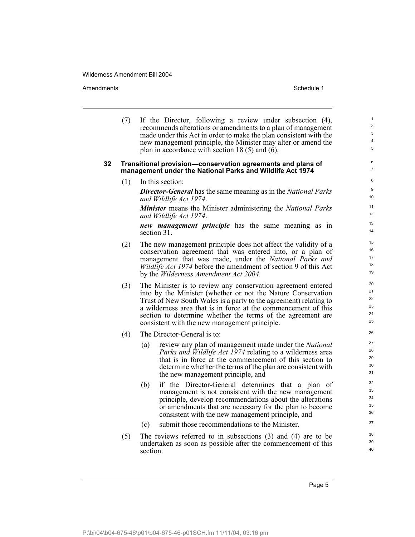Amendments **Amendments** Schedule 1

(7) If the Director, following a review under subsection (4), recommends alterations or amendments to a plan of management made under this Act in order to make the plan consistent with the new management principle, the Minister may alter or amend the plan in accordance with section 18 (5) and (6).

### **32 Transitional provision—conservation agreements and plans of management under the National Parks and Wildlife Act 1974**

(1) In this section:

*Director-General* has the same meaning as in the *National Parks and Wildlife Act 1974*.

*Minister* means the Minister administering the *National Parks and Wildlife Act 1974*.

*new management principle* has the same meaning as in section 31.

- (2) The new management principle does not affect the validity of a conservation agreement that was entered into, or a plan of management that was made, under the *National Parks and Wildlife Act 1974* before the amendment of section 9 of this Act by the *Wilderness Amendment Act 2004*.
- (3) The Minister is to review any conservation agreement entered into by the Minister (whether or not the Nature Conservation Trust of New South Wales is a party to the agreement) relating to a wilderness area that is in force at the commencement of this section to determine whether the terms of the agreement are consistent with the new management principle.
- (4) The Director-General is to:
	- (a) review any plan of management made under the *National Parks and Wildlife Act 1974* relating to a wilderness area that is in force at the commencement of this section to determine whether the terms of the plan are consistent with the new management principle, and
	- (b) if the Director-General determines that a plan of management is not consistent with the new management principle, develop recommendations about the alterations or amendments that are necessary for the plan to become consistent with the new management principle, and
	- (c) submit those recommendations to the Minister.
- (5) The reviews referred to in subsections (3) and (4) are to be undertaken as soon as possible after the commencement of this section.